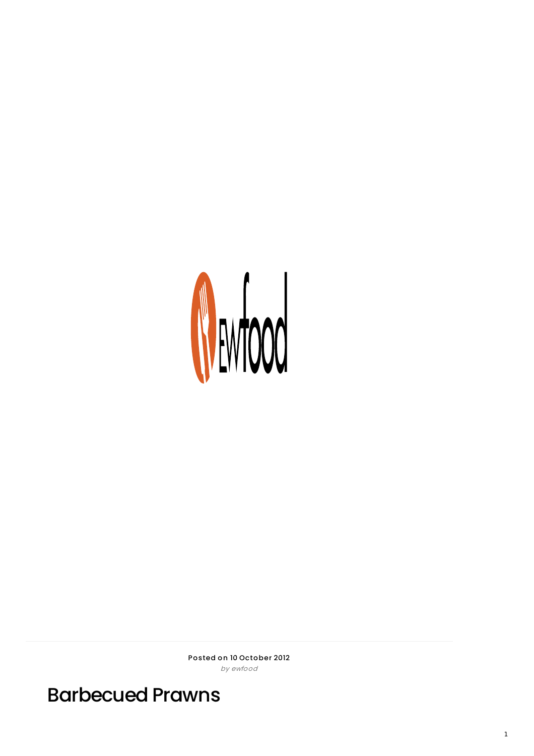

Posted on 10 October 2012 by ewfood

Barbecued Prawns